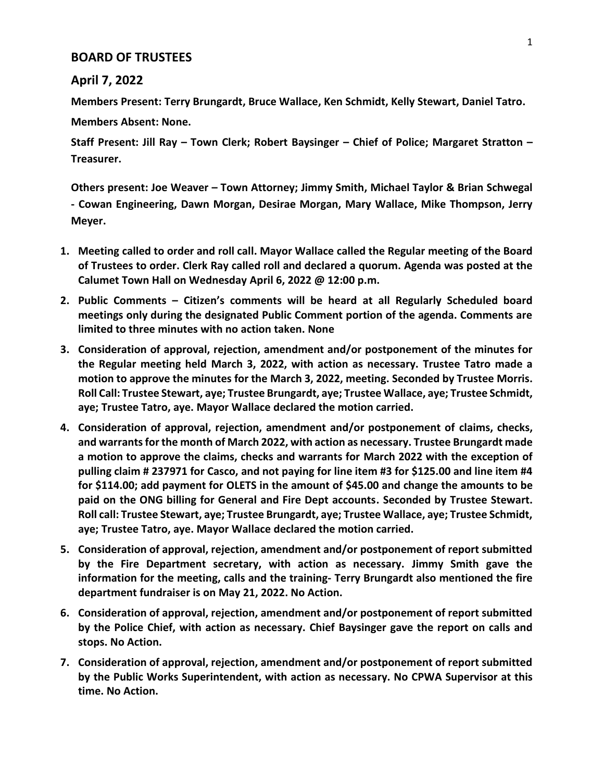## **BOARD OF TRUSTEES**

## **April 7, 2022**

**Members Present: Terry Brungardt, Bruce Wallace, Ken Schmidt, Kelly Stewart, Daniel Tatro.**

**Members Absent: None.**

**Staff Present: Jill Ray – Town Clerk; Robert Baysinger – Chief of Police; Margaret Stratton – Treasurer.**

**Others present: Joe Weaver – Town Attorney; Jimmy Smith, Michael Taylor & Brian Schwegal - Cowan Engineering, Dawn Morgan, Desirae Morgan, Mary Wallace, Mike Thompson, Jerry Meyer.**

- **1. Meeting called to order and roll call. Mayor Wallace called the Regular meeting of the Board of Trustees to order. Clerk Ray called roll and declared a quorum. Agenda was posted at the Calumet Town Hall on Wednesday April 6, 2022 @ 12:00 p.m.**
- **2. Public Comments – Citizen's comments will be heard at all Regularly Scheduled board meetings only during the designated Public Comment portion of the agenda. Comments are limited to three minutes with no action taken. None**
- **3. Consideration of approval, rejection, amendment and/or postponement of the minutes for the Regular meeting held March 3, 2022, with action as necessary. Trustee Tatro made a motion to approve the minutes for the March 3, 2022, meeting. Seconded by Trustee Morris. Roll Call: Trustee Stewart, aye; Trustee Brungardt, aye; Trustee Wallace, aye; Trustee Schmidt, aye; Trustee Tatro, aye. Mayor Wallace declared the motion carried.**
- **4. Consideration of approval, rejection, amendment and/or postponement of claims, checks, and warrants for the month of March 2022, with action as necessary. Trustee Brungardt made a motion to approve the claims, checks and warrants for March 2022 with the exception of pulling claim # 237971 for Casco, and not paying for line item #3 for \$125.00 and line item #4 for \$114.00; add payment for OLETS in the amount of \$45.00 and change the amounts to be paid on the ONG billing for General and Fire Dept accounts. Seconded by Trustee Stewart. Roll call: Trustee Stewart, aye; Trustee Brungardt, aye; Trustee Wallace, aye; Trustee Schmidt, aye; Trustee Tatro, aye. Mayor Wallace declared the motion carried.**
- **5. Consideration of approval, rejection, amendment and/or postponement of report submitted by the Fire Department secretary, with action as necessary. Jimmy Smith gave the information for the meeting, calls and the training- Terry Brungardt also mentioned the fire department fundraiser is on May 21, 2022. No Action.**
- **6. Consideration of approval, rejection, amendment and/or postponement of report submitted by the Police Chief, with action as necessary. Chief Baysinger gave the report on calls and stops. No Action.**
- **7. Consideration of approval, rejection, amendment and/or postponement of report submitted by the Public Works Superintendent, with action as necessary. No CPWA Supervisor at this time. No Action.**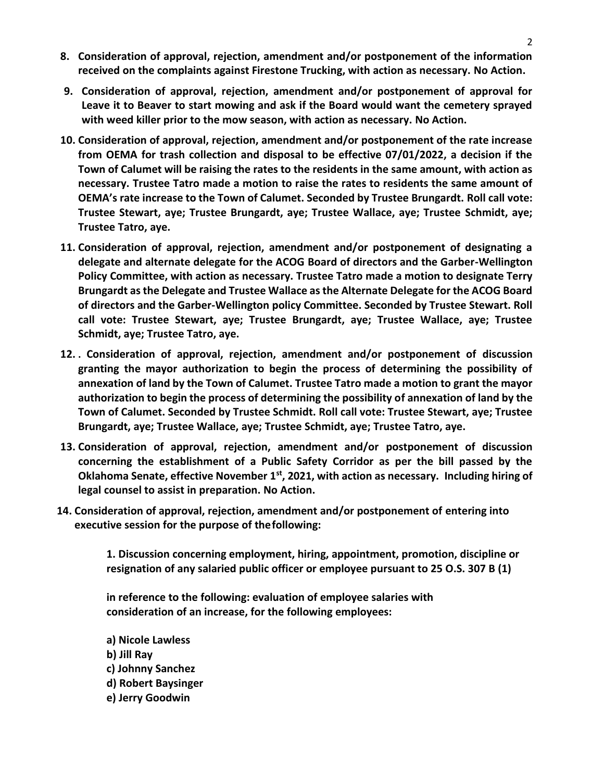- **8. Consideration of approval, rejection, amendment and/or postponement of the information received on the complaints against Firestone Trucking, with action as necessary. No Action.**
- **9. Consideration of approval, rejection, amendment and/or postponement of approval for Leave it to Beaver to start mowing and ask if the Board would want the cemetery sprayed with weed killer prior to the mow season, with action as necessary. No Action.**
- **10. Consideration of approval, rejection, amendment and/or postponement of the rate increase from OEMA for trash collection and disposal to be effective 07/01/2022, a decision if the Town of Calumet will be raising the rates to the residents in the same amount, with action as necessary. Trustee Tatro made a motion to raise the rates to residents the same amount of OEMA's rate increase to the Town of Calumet. Seconded by Trustee Brungardt. Roll call vote: Trustee Stewart, aye; Trustee Brungardt, aye; Trustee Wallace, aye; Trustee Schmidt, aye; Trustee Tatro, aye.**
- **11. Consideration of approval, rejection, amendment and/or postponement of designating a delegate and alternate delegate for the ACOG Board of directors and the Garber-Wellington Policy Committee, with action as necessary. Trustee Tatro made a motion to designate Terry Brungardt as the Delegate and Trustee Wallace as the Alternate Delegate for the ACOG Board of directors and the Garber-Wellington policy Committee. Seconded by Trustee Stewart. Roll call vote: Trustee Stewart, aye; Trustee Brungardt, aye; Trustee Wallace, aye; Trustee Schmidt, aye; Trustee Tatro, aye.**
- **12. . Consideration of approval, rejection, amendment and/or postponement of discussion granting the mayor authorization to begin the process of determining the possibility of annexation of land by the Town of Calumet. Trustee Tatro made a motion to grant the mayor authorization to begin the process of determining the possibility of annexation of land by the Town of Calumet. Seconded by Trustee Schmidt. Roll call vote: Trustee Stewart, aye; Trustee Brungardt, aye; Trustee Wallace, aye; Trustee Schmidt, aye; Trustee Tatro, aye.**
- **13. Consideration of approval, rejection, amendment and/or postponement of discussion concerning the establishment of a Public Safety Corridor as per the bill passed by the Oklahoma Senate, effective November 1st, 2021, with action as necessary. Including hiring of legal counsel to assist in preparation. No Action.**
- **14. Consideration of approval, rejection, amendment and/or postponement of entering into executive session for the purpose of thefollowing:**

**1. Discussion concerning employment, hiring, appointment, promotion, discipline or resignation of any salaried public officer or employee pursuant to 25 O.S. 307 B (1)**

**in reference to the following: evaluation of employee salaries with consideration of an increase, for the following employees:**

**a) Nicole Lawless b) Jill Ray c) Johnny Sanchez d) Robert Baysinger e) Jerry Goodwin**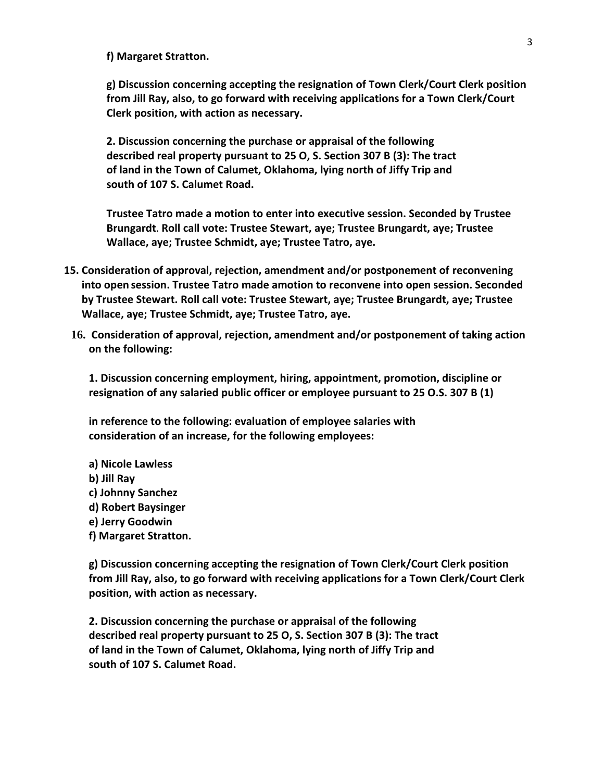**f) Margaret Stratton.**

**g) Discussion concerning accepting the resignation of Town Clerk/Court Clerk position from Jill Ray, also, to go forward with receiving applications for a Town Clerk/Court Clerk position, with action as necessary.**

**2. Discussion concerning the purchase or appraisal of the following described real property pursuant to 25 O, S. Section 307 B (3): The tract of land in the Town of Calumet, Oklahoma, lying north of Jiffy Trip and south of 107 S. Calumet Road.**

**Trustee Tatro made a motion to enter into executive session. Seconded by Trustee Brungardt**. **Roll call vote: Trustee Stewart, aye; Trustee Brungardt, aye; Trustee Wallace, aye; Trustee Schmidt, aye; Trustee Tatro, aye.**

- **15. Consideration of approval, rejection, amendment and/or postponement of reconvening into open session. Trustee Tatro made amotion to reconvene into open session. Seconded by Trustee Stewart. Roll call vote: Trustee Stewart, aye; Trustee Brungardt, aye; Trustee Wallace, aye; Trustee Schmidt, aye; Trustee Tatro, aye.**
- **16. Consideration of approval, rejection, amendment and/or postponement of taking action on the following:**

**1. Discussion concerning employment, hiring, appointment, promotion, discipline or resignation of any salaried public officer or employee pursuant to 25 O.S. 307 B (1)**

**in reference to the following: evaluation of employee salaries with consideration of an increase, for the following employees:**

- **a) Nicole Lawless**
- **b) Jill Ray**
- **c) Johnny Sanchez**
- **d) Robert Baysinger**
- **e) Jerry Goodwin**
- **f) Margaret Stratton.**

**g) Discussion concerning accepting the resignation of Town Clerk/Court Clerk position from Jill Ray, also, to go forward with receiving applications for a Town Clerk/Court Clerk position, with action as necessary.**

**2. Discussion concerning the purchase or appraisal of the following described real property pursuant to 25 O, S. Section 307 B (3): The tract of land in the Town of Calumet, Oklahoma, lying north of Jiffy Trip and south of 107 S. Calumet Road.**